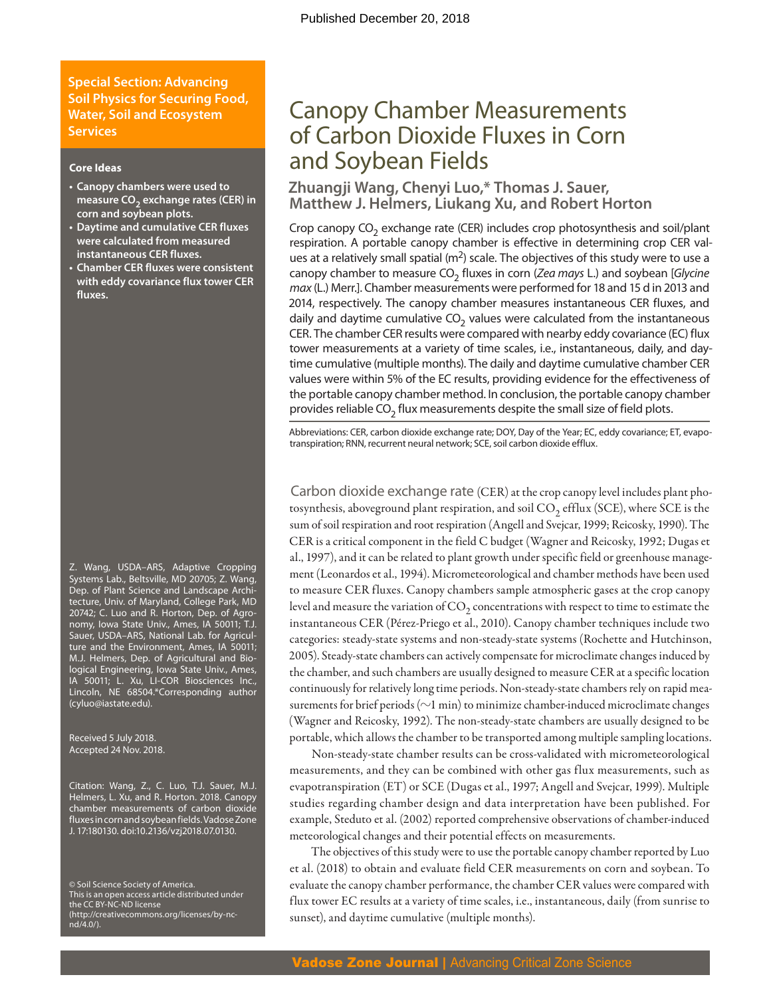**Special Section: Advancing Soil Physics for Securing Food, Water, Soil and Ecosystem Services**

#### **Core Ideas**

- **• Canopy chambers were used to**  measure CO<sub>2</sub> exchange rates (CER) in **corn and soybean plots.**
- **• Daytime and cumulative CER fluxes were calculated from measured instantaneous CER fluxes.**
- **• Chamber CER fluxes were consistent with eddy covariance flux tower CER fluxes.**

Z. Wang, USDA–ARS, Adaptive Cropping Systems Lab., Beltsville, MD 20705; Z. Wang, Dep. of Plant Science and Landscape Architecture, Univ. of Maryland, College Park, MD 20742; C. Luo and R. Horton, Dep. of Agronomy, Iowa State Univ., Ames, IA 50011; T.J. Sauer, USDA–ARS, National Lab. for Agriculture and the Environment, Ames, IA 50011; M.J. Helmers, Dep. of Agricultural and Biological Engineering, Iowa State Univ., Ames, IA 50011; L. Xu, LI-COR Biosciences Inc., Lincoln, NE 68504.\*Corresponding author [\(cyluo@iastate.edu](mailto:cyluo@iastate.edu)).

Received 5 July 2018. Accepted 24 Nov. 2018.

Citation: Wang, Z., C. Luo, T.J. Sauer, M.J. Helmers, L. Xu, and R. Horton. 2018. Canopy chamber measurements of carbon dioxide fluxes in corn and soybean fields. Vadose Zone J. 17:180130. doi[:10.2136/vzj2](10.2136/vzj)018.07.0130.

© Soil Science Society of America. This is an open access article distributed under the CC BY-NC-ND license ([http://creativecommons.org/licenses/by-nc](http://creativecommons.org/licenses/by-nc-nd/4.0/)[nd/4.0/\)](http://creativecommons.org/licenses/by-nc-nd/4.0/).

# Canopy Chamber Measurements of Carbon Dioxide Fluxes in Corn and Soybean Fields

#### **Zhuangji Wang, Chenyi Luo,\* Thomas J. Sauer, Matthew J. Helmers, Liukang Xu, and Robert Horton**

Crop canopy  $CO<sub>2</sub>$  exchange rate (CER) includes crop photosynthesis and soil/plant respiration. A portable canopy chamber is effective in determining crop CER values at a relatively small spatial  $(m^2)$  scale. The objectives of this study were to use a canopy chamber to measure CO<sub>2</sub> fluxes in corn (*Zea mays* L.) and soybean [*Glycine max* (L.) Merr.]. Chamber measurements were performed for 18 and 15 d in 2013 and 2014, respectively. The canopy chamber measures instantaneous CER fluxes, and daily and daytime cumulative  $CO<sub>2</sub>$  values were calculated from the instantaneous CER. The chamber CER results were compared with nearby eddy covariance (EC) flux tower measurements at a variety of time scales, i.e., instantaneous, daily, and daytime cumulative (multiple months). The daily and daytime cumulative chamber CER values were within 5% of the EC results, providing evidence for the effectiveness of the portable canopy chamber method. In conclusion, the portable canopy chamber provides reliable  $CO<sub>2</sub>$  flux measurements despite the small size of field plots.

Abbreviations: CER, carbon dioxide exchange rate; DOY, Day of the Year; EC, eddy covariance; ET, evapotranspiration; RNN, recurrent neural network; SCE, soil carbon dioxide efflux.

Carbon dioxide exchange rate (CER) at the crop canopy level includes plant photosynthesis, aboveground plant respiration, and soil  $CO<sub>2</sub>$  efflux (SCE), where SCE is the sum of soil respiration and root respiration (Angell and Svejcar, 1999; Reicosky, 1990). The CER is a critical component in the field C budget (Wagner and Reicosky, 1992; Dugas et al., 1997), and it can be related to plant growth under specific field or greenhouse management (Leonardos et al., 1994). Micrometeorological and chamber methods have been used to measure CER fluxes. Canopy chambers sample atmospheric gases at the crop canopy level and measure the variation of  $CO<sub>2</sub>$  concentrations with respect to time to estimate the instantaneous CER (Pérez-Priego et al., 2010). Canopy chamber techniques include two categories: steady-state systems and non-steady-state systems (Rochette and Hutchinson, 2005). Steady-state chambers can actively compensate for microclimate changes induced by the chamber, and such chambers are usually designed to measure CER at a specific location continuously for relatively long time periods. Non-steady-state chambers rely on rapid measurements for brief periods ( $\sim$ 1 min) to minimize chamber-induced microclimate changes (Wagner and Reicosky, 1992). The non-steady-state chambers are usually designed to be portable, which allows the chamber to be transported among multiple sampling locations.

Non-steady-state chamber results can be cross-validated with micrometeorological measurements, and they can be combined with other gas flux measurements, such as evapotranspiration (ET) or SCE (Dugas et al., 1997; Angell and Svejcar, 1999). Multiple studies regarding chamber design and data interpretation have been published. For example, Steduto et al. (2002) reported comprehensive observations of chamber-induced meteorological changes and their potential effects on measurements.

The objectives of this study were to use the portable canopy chamber reported by Luo et al. (2018) to obtain and evaluate field CER measurements on corn and soybean. To evaluate the canopy chamber performance, the chamber CER values were compared with flux tower EC results at a variety of time scales, i.e., instantaneous, daily (from sunrise to sunset), and daytime cumulative (multiple months).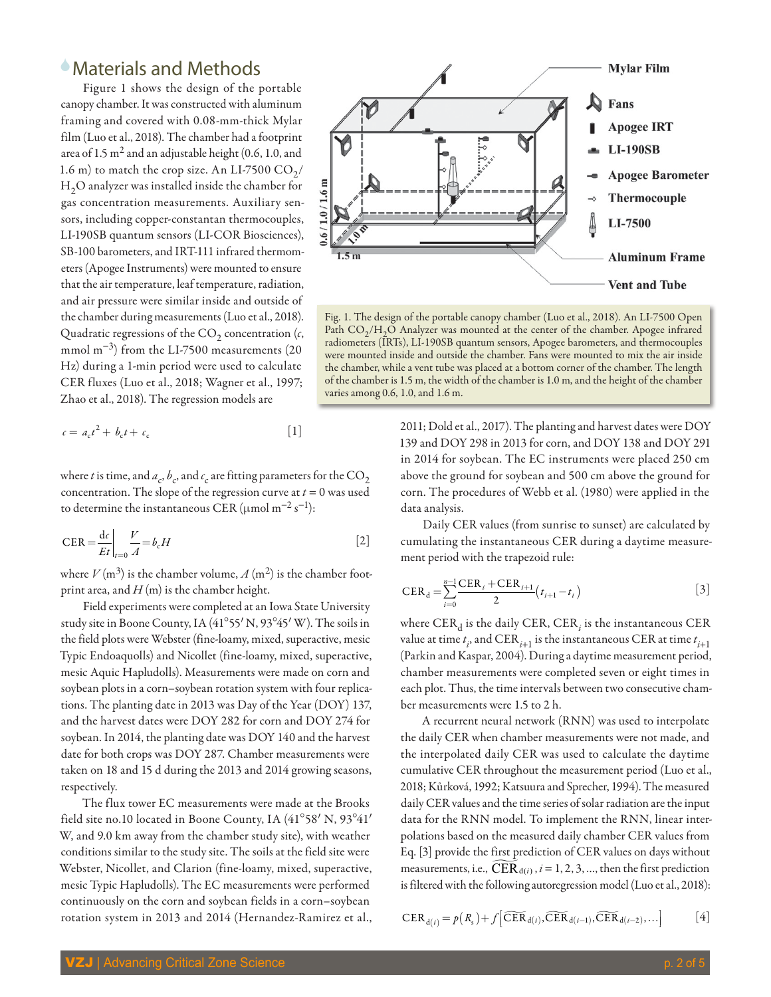## 6Materials and Methods

Figure 1 shows the design of the portable canopy chamber. It was constructed with aluminum framing and covered with 0.08-mm-thick Mylar film (Luo et al., 2018). The chamber had a footprint area of 1.5  $m<sup>2</sup>$  and an adjustable height (0.6, 1.0, and 1.6 m) to match the crop size. An LI-7500  $CO<sub>2</sub>/$ H<sub>2</sub>O analyzer was installed inside the chamber for gas concentration measurements. Auxiliary sensors, including copper-constantan thermocouples, LI-190SB quantum sensors (LI-COR Biosciences), SB-100 barometers, and IRT-111 infrared thermometers (Apogee Instruments) were mounted to ensure that the air temperature, leaf temperature, radiation, and air pressure were similar inside and outside of the chamber during measurements (Luo et al., 2018). Quadratic regressions of the  $CO<sub>2</sub>$  concentration  $(c, c)$ mmol m−3) from the LI-7500 measurements (20 Hz) during a 1-min period were used to calculate CER fluxes (Luo et al., 2018; Wagner et al., 1997; Zhao et al., 2018). The regression models are

$$
c = a_{c}t^{2} + b_{c}t + c_{c}
$$
 [1]

where *t* is time, and  $a_c$ ,  $b_c$ , and  $c_c$  are fitting parameters for the  $\mathrm{CO}_2$ concentration. The slope of the regression curve at  $t = 0$  was used to determine the instantaneous CER ( $\mu$ mol m<sup>-2</sup> s<sup>-1</sup>):

$$
CER = \frac{dc}{Et}\bigg|_{t=0} \frac{V}{A} = b_c H
$$
 [2]

where  $V(m^3)$  is the chamber volume,  $A(m^2)$  is the chamber footprint area, and *H* (m) is the chamber height.

Field experiments were completed at an Iowa State University study site in Boone County, IA (41°55' N, 93°45' W). The soils in the field plots were Webster (fine-loamy, mixed, superactive, mesic Typic Endoaquolls) and Nicollet (fine-loamy, mixed, superactive, mesic Aquic Hapludolls). Measurements were made on corn and soybean plots in a corn–soybean rotation system with four replications. The planting date in 2013 was Day of the Year (DOY) 137, and the harvest dates were DOY 282 for corn and DOY 274 for soybean. In 2014, the planting date was DOY 140 and the harvest date for both crops was DOY 287. Chamber measurements were taken on 18 and 15 d during the 2013 and 2014 growing seasons, respectively.

The flux tower EC measurements were made at the Brooks field site no.10 located in Boone County, IA  $(41°58' N, 93°41'$ W, and 9.0 km away from the chamber study site), with weather conditions similar to the study site. The soils at the field site were Webster, Nicollet, and Clarion (fine-loamy, mixed, superactive, mesic Typic Hapludolls). The EC measurements were performed continuously on the corn and soybean fields in a corn–soybean rotation system in 2013 and 2014 (Hernandez-Ramirez et al.,



Fig. 1. The design of the portable canopy chamber (Luo et al., 2018). An LI-7500 Open Path  $CO<sub>2</sub>/H<sub>2</sub>O$  Analyzer was mounted at the center of the chamber. Apogee infrared radiometers (IRTs), LI-190SB quantum sensors, Apogee barometers, and thermocouples were mounted inside and outside the chamber. Fans were mounted to mix the air inside the chamber, while a vent tube was placed at a bottom corner of the chamber. The length of the chamber is 1.5 m, the width of the chamber is 1.0 m, and the height of the chamber varies among 0.6, 1.0, and 1.6 m.

2011; Dold et al., 2017). The planting and harvest dates were DOY 139 and DOY 298 in 2013 for corn, and DOY 138 and DOY 291 in 2014 for soybean. The EC instruments were placed 250 cm above the ground for soybean and 500 cm above the ground for corn. The procedures of Webb et al. (1980) were applied in the data analysis.

Daily CER values (from sunrise to sunset) are calculated by cumulating the instantaneous CER during a daytime measurement period with the trapezoid rule:

$$
CER_{d} = \sum_{i=0}^{n-1} \frac{CER_{i} + CER_{i+1}}{2} (t_{i+1} - t_{i})
$$
 [3]

where  $\mathrm{CER}_{\mathrm{d}}$  is the daily  $\mathrm{CER}, \mathrm{CER}_i$  is the instantaneous  $\mathrm{CER}$ value at time  $t_i$ , and  $\mathrm{CER}_{i+1}$  is the instantaneous  $\mathrm{CER}$  at time  $t_{i+1}$ (Parkin and Kaspar, 2004). During a daytime measurement period, chamber measurements were completed seven or eight times in each plot. Thus, the time intervals between two consecutive chamber measurements were 1.5 to 2 h.

A recurrent neural network (RNN) was used to interpolate the daily CER when chamber measurements were not made, and the interpolated daily CER was used to calculate the daytime cumulative CER throughout the measurement period (Luo et al., 2018; Kůrková, 1992; Katsuura and Sprecher, 1994). The measured daily CER values and the time series of solar radiation are the input data for the RNN model. To implement the RNN, linear interpolations based on the measured daily chamber CER values from Eq. [3] provide the first prediction of CER values on days without measurements, i.e.,  $CER_{d(i)}$ ,  $i = 1, 2, 3, ...$ , then the first prediction is filtered with the following autoregression model (Luo et al., 2018):

$$
CER_{d(i)} = p(R_s) + f\left[\widetilde{CER}_{d(i)}, \widetilde{CER}_{d(i-1)}, \widetilde{CER}_{d(i-2)}, ...\right]
$$
 [4]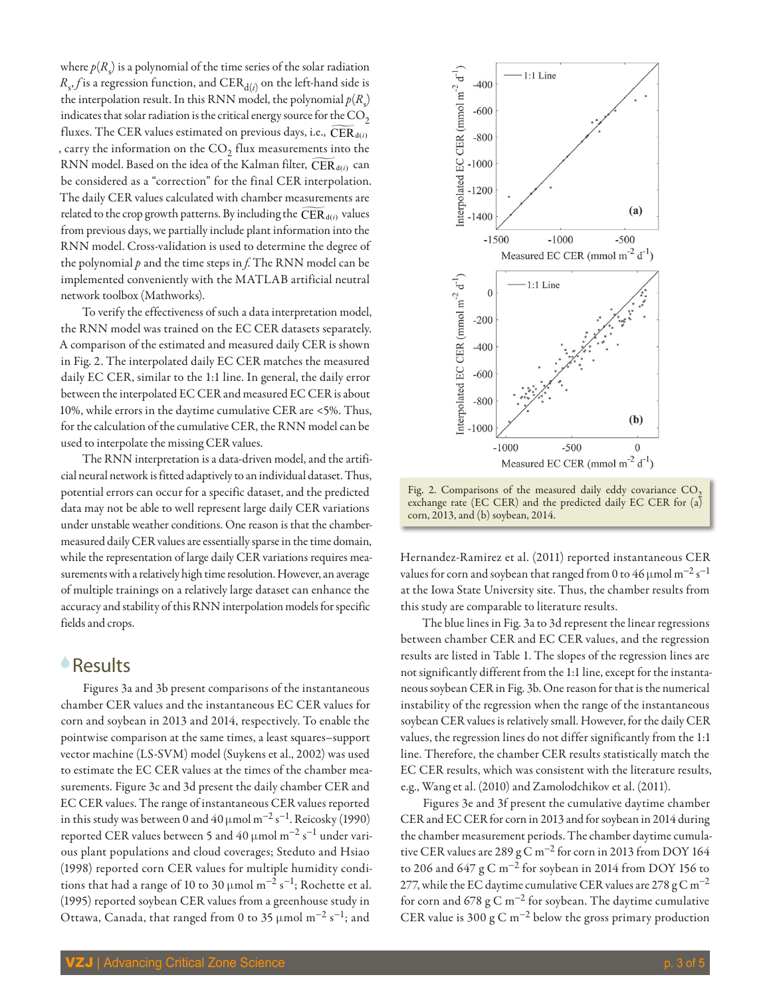where  $p(R<sub>s</sub>)$  is a polynomial of the time series of the solar radiation  $R_{s}$ , $f$  is a regression function, and  $\mathrm{CER}_{\mathrm{d}(i)}$  on the left-hand side is the interpolation result. In this RNN model, the polynomial  $p(R<sub>s</sub>)$ indicates that solar radiation is the critical energy source for the  $\mathrm{CO}_2$ fluxes. The CER values estimated on previous days, i.e.,  $CER_{d(i)}$ , carry the information on the  $\text{CO}_2$  flux measurements into the RNN model. Based on the idea of the Kalman filter, CER<sub>d(i)</sub> can be considered as a "correction" for the final CER interpolation. The daily CER values calculated with chamber measurements are related to the crop growth patterns. By including the  $\widetilde{\mathrm{CER}}_{d(i)}$  values from previous days, we partially include plant information into the RNN model. Cross-validation is used to determine the degree of the polynomial *p* and the time steps in *f*. The RNN model can be implemented conveniently with the MATLAB artificial neutral network toolbox (Mathworks).

To verify the effectiveness of such a data interpretation model, the RNN model was trained on the EC CER datasets separately. A comparison of the estimated and measured daily CER is shown in Fig. 2. The interpolated daily EC CER matches the measured daily EC CER, similar to the 1:1 line. In general, the daily error between the interpolated EC CER and measured EC CER is about 10%, while errors in the daytime cumulative CER are <5%. Thus, for the calculation of the cumulative CER, the RNN model can be used to interpolate the missing CER values.

The RNN interpretation is a data-driven model, and the artificial neural network is fitted adaptively to an individual dataset. Thus, potential errors can occur for a specific dataset, and the predicted data may not be able to well represent large daily CER variations under unstable weather conditions. One reason is that the chambermeasured daily CER values are essentially sparse in the time domain, while the representation of large daily CER variations requires measurements with a relatively high time resolution. However, an average of multiple trainings on a relatively large dataset can enhance the accuracy and stability of this RNN interpolation models for specific fields and crops.

#### 6Results

Figures 3a and 3b present comparisons of the instantaneous chamber CER values and the instantaneous EC CER values for corn and soybean in 2013 and 2014, respectively. To enable the pointwise comparison at the same times, a least squares–support vector machine (LS-SVM) model (Suykens et al., 2002) was used to estimate the EC CER values at the times of the chamber measurements. Figure 3c and 3d present the daily chamber CER and EC CER values. The range of instantaneous CER values reported in this study was between 0 and 40  $\mu$ mol m<sup>-2</sup> s<sup>-1</sup>. Reicosky (1990) reported CER values between 5 and 40 µmol  $m^{-2}$  s<sup>-1</sup> under various plant populations and cloud coverages; Steduto and Hsiao (1998) reported corn CER values for multiple humidity conditions that had a range of 10 to 30 µmol m<sup>-2</sup> s<sup>-1</sup>; Rochette et al. (1995) reported soybean CER values from a greenhouse study in Ottawa, Canada, that ranged from 0 to 35 µmol m<sup>-2</sup> s<sup>-1</sup>; and



Fig. 2. Comparisons of the measured daily eddy covariance  $CO<sub>2</sub>$ exchange rate (EC CER) and the predicted daily EC CER for (a) corn, 2013, and (b) soybean, 2014.

Hernandez-Ramirez et al. (2011) reported instantaneous CER values for corn and soybean that ranged from 0 to 46 µmol m<sup>-2</sup> s<sup>-1</sup> at the Iowa State University site. Thus, the chamber results from this study are comparable to literature results.

The blue lines in Fig. 3a to 3d represent the linear regressions between chamber CER and EC CER values, and the regression results are listed in Table 1. The slopes of the regression lines are not significantly different from the 1:1 line, except for the instantaneous soybean CER in Fig. 3b. One reason for that is the numerical instability of the regression when the range of the instantaneous soybean CER values is relatively small. However, for the daily CER values, the regression lines do not differ significantly from the 1:1 line. Therefore, the chamber CER results statistically match the EC CER results, which was consistent with the literature results, e.g., Wang et al. (2010) and Zamolodchikov et al. (2011).

Figures 3e and 3f present the cumulative daytime chamber CER and EC CER for corn in 2013 and for soybean in 2014 during the chamber measurement periods. The chamber daytime cumulative CER values are 289 g C m−2 for corn in 2013 from DOY 164 to 206 and 647  $g \text{C m}^{-2}$  for soybean in 2014 from DOY 156 to 277, while the EC daytime cumulative CER values are 278 g C m<sup>-2</sup> for corn and 678  $g$  C m<sup>-2</sup> for soybean. The daytime cumulative CER value is 300 g C m<sup>-2</sup> below the gross primary production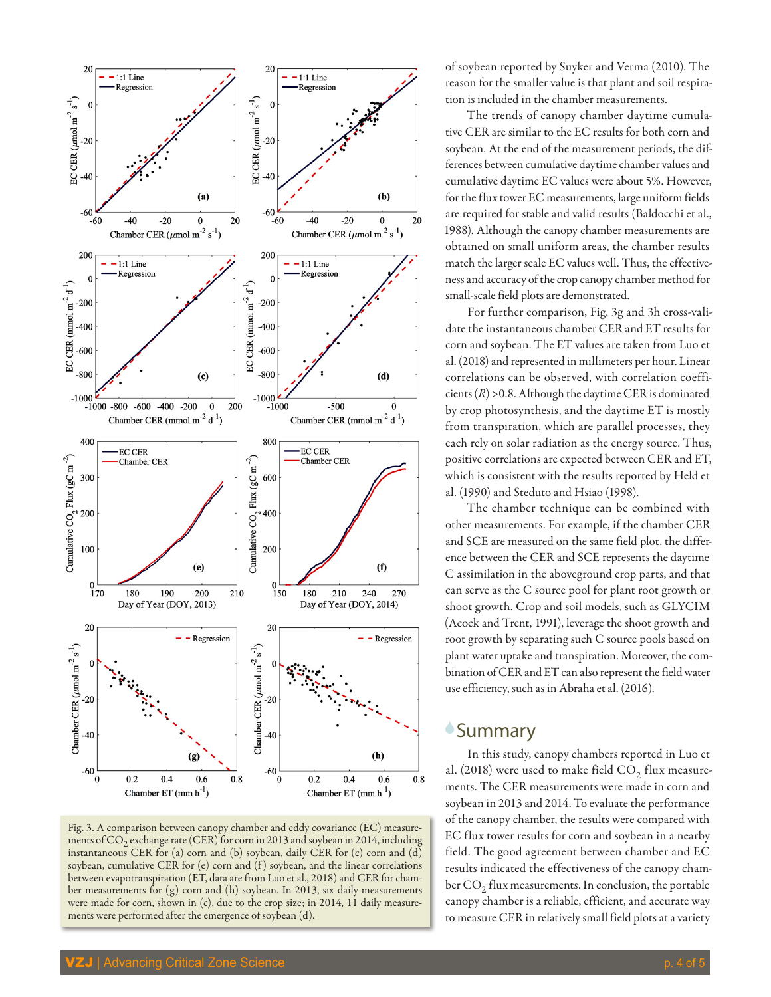

Fig. 3. A comparison between canopy chamber and eddy covariance (EC) measurements of  $CO<sub>2</sub>$  exchange rate (CER) for corn in 2013 and soybean in 2014, including instantaneous CER for (a) corn and (b) soybean, daily CER for (c) corn and (d) soybean, cumulative CER for (e) corn and (f) soybean, and the linear correlations between evapotranspiration (ET, data are from Luo et al., 2018) and CER for chamber measurements for (g) corn and (h) soybean. In 2013, six daily measurements were made for corn, shown in (c), due to the crop size; in 2014, 11 daily measurements were performed after the emergence of soybean (d).

of soybean reported by Suyker and Verma (2010). The reason for the smaller value is that plant and soil respiration is included in the chamber measurements.

The trends of canopy chamber daytime cumulative CER are similar to the EC results for both corn and soybean. At the end of the measurement periods, the differences between cumulative daytime chamber values and cumulative daytime EC values were about 5%. However, for the flux tower EC measurements, large uniform fields are required for stable and valid results (Baldocchi et al., 1988). Although the canopy chamber measurements are obtained on small uniform areas, the chamber results match the larger scale EC values well. Thus, the effectiveness and accuracy of the crop canopy chamber method for small-scale field plots are demonstrated.

For further comparison, Fig. 3g and 3h cross-validate the instantaneous chamber CER and ET results for corn and soybean. The ET values are taken from Luo et al. (2018) and represented in millimeters per hour. Linear correlations can be observed, with correlation coefficients (*R*) >0.8. Although the daytime CER is dominated by crop photosynthesis, and the daytime ET is mostly from transpiration, which are parallel processes, they each rely on solar radiation as the energy source. Thus, positive correlations are expected between CER and ET, which is consistent with the results reported by Held et al. (1990) and Steduto and Hsiao (1998).

The chamber technique can be combined with other measurements. For example, if the chamber CER and SCE are measured on the same field plot, the difference between the CER and SCE represents the daytime C assimilation in the aboveground crop parts, and that can serve as the C source pool for plant root growth or shoot growth. Crop and soil models, such as GLYCIM (Acock and Trent, 1991), leverage the shoot growth and root growth by separating such C source pools based on plant water uptake and transpiration. Moreover, the combination of CER and ET can also represent the field water use efficiency, such as in Abraha et al. (2016).

## **Summary**

In this study, canopy chambers reported in Luo et al. (2018) were used to make field  $CO<sub>2</sub>$  flux measurements. The CER measurements were made in corn and soybean in 2013 and 2014. To evaluate the performance of the canopy chamber, the results were compared with EC flux tower results for corn and soybean in a nearby field. The good agreement between chamber and EC results indicated the effectiveness of the canopy chamber  $CO<sub>2</sub>$  flux measurements. In conclusion, the portable canopy chamber is a reliable, efficient, and accurate way to measure CER in relatively small field plots at a variety